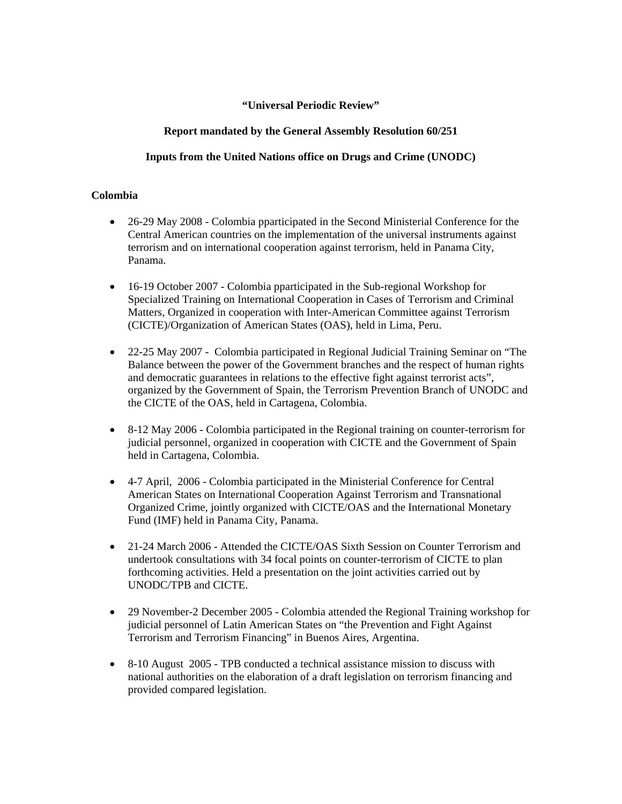## **"Universal Periodic Review"**

# **Report mandated by the General Assembly Resolution 60/251**

## **Inputs from the United Nations office on Drugs and Crime (UNODC)**

## **Colombia**

- 26-29 May 2008 Colombia pparticipated in the Second Ministerial Conference for the Central American countries on the implementation of the universal instruments against terrorism and on international cooperation against terrorism, held in Panama City, Panama.
- 16-19 October 2007 Colombia pparticipated in the Sub-regional Workshop for Specialized Training on International Cooperation in Cases of Terrorism and Criminal Matters, Organized in cooperation with Inter-American Committee against Terrorism (CICTE)/Organization of American States (OAS), held in Lima, Peru.
- 22-25 May 2007 Colombia participated in Regional Judicial Training Seminar on "The Balance between the power of the Government branches and the respect of human rights and democratic guarantees in relations to the effective fight against terrorist acts", organized by the Government of Spain, the Terrorism Prevention Branch of UNODC and the CICTE of the OAS, held in Cartagena, Colombia.
- 8-12 May 2006 Colombia participated in the Regional training on counter-terrorism for judicial personnel, organized in cooperation with CICTE and the Government of Spain held in Cartagena, Colombia.
- 4-7 April, 2006 Colombia participated in the Ministerial Conference for Central American States on International Cooperation Against Terrorism and Transnational Organized Crime, jointly organized with CICTE/OAS and the International Monetary Fund (IMF) held in Panama City, Panama.
- 21-24 March 2006 Attended the CICTE/OAS Sixth Session on Counter Terrorism and undertook consultations with 34 focal points on counter-terrorism of CICTE to plan forthcoming activities. Held a presentation on the joint activities carried out by UNODC/TPB and CICTE.
- 29 November-2 December 2005 Colombia attended the Regional Training workshop for judicial personnel of Latin American States on "the Prevention and Fight Against Terrorism and Terrorism Financing" in Buenos Aires, Argentina.
- 8-10 August 2005 TPB conducted a technical assistance mission to discuss with national authorities on the elaboration of a draft legislation on terrorism financing and provided compared legislation.